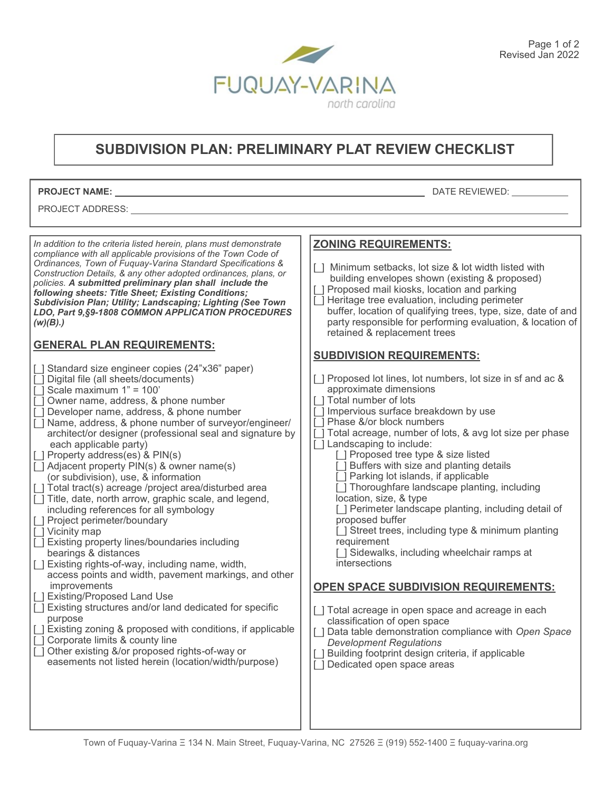

## **SUBDIVISION PLAN: PRELIMINARY PLAT REVIEW CHECKLIST**

| <b>PROJECT NAME:</b>                                                                                                                                                                                                                                                                                                                                                                                                                                                                                                                                                                                                                                                                                                                                                                                                                                                                                                                                                                                                                                                                                                                                                                                                                                                                                                                                                                                                                                                                                                                                                                                                                                                                                                                                                                                                                                                | DATE REVIEWED: __________                                                                                                                                                                                                                                                                                                                                                                                                                                                                                                                                                                                                                                                                                                                                                                                                                                                                                                                                                                                                                                                                                                                                                                                                                                                                                                                                                                                                                                                         |  |
|---------------------------------------------------------------------------------------------------------------------------------------------------------------------------------------------------------------------------------------------------------------------------------------------------------------------------------------------------------------------------------------------------------------------------------------------------------------------------------------------------------------------------------------------------------------------------------------------------------------------------------------------------------------------------------------------------------------------------------------------------------------------------------------------------------------------------------------------------------------------------------------------------------------------------------------------------------------------------------------------------------------------------------------------------------------------------------------------------------------------------------------------------------------------------------------------------------------------------------------------------------------------------------------------------------------------------------------------------------------------------------------------------------------------------------------------------------------------------------------------------------------------------------------------------------------------------------------------------------------------------------------------------------------------------------------------------------------------------------------------------------------------------------------------------------------------------------------------------------------------|-----------------------------------------------------------------------------------------------------------------------------------------------------------------------------------------------------------------------------------------------------------------------------------------------------------------------------------------------------------------------------------------------------------------------------------------------------------------------------------------------------------------------------------------------------------------------------------------------------------------------------------------------------------------------------------------------------------------------------------------------------------------------------------------------------------------------------------------------------------------------------------------------------------------------------------------------------------------------------------------------------------------------------------------------------------------------------------------------------------------------------------------------------------------------------------------------------------------------------------------------------------------------------------------------------------------------------------------------------------------------------------------------------------------------------------------------------------------------------------|--|
| PROJECT ADDRESS:                                                                                                                                                                                                                                                                                                                                                                                                                                                                                                                                                                                                                                                                                                                                                                                                                                                                                                                                                                                                                                                                                                                                                                                                                                                                                                                                                                                                                                                                                                                                                                                                                                                                                                                                                                                                                                                    |                                                                                                                                                                                                                                                                                                                                                                                                                                                                                                                                                                                                                                                                                                                                                                                                                                                                                                                                                                                                                                                                                                                                                                                                                                                                                                                                                                                                                                                                                   |  |
|                                                                                                                                                                                                                                                                                                                                                                                                                                                                                                                                                                                                                                                                                                                                                                                                                                                                                                                                                                                                                                                                                                                                                                                                                                                                                                                                                                                                                                                                                                                                                                                                                                                                                                                                                                                                                                                                     |                                                                                                                                                                                                                                                                                                                                                                                                                                                                                                                                                                                                                                                                                                                                                                                                                                                                                                                                                                                                                                                                                                                                                                                                                                                                                                                                                                                                                                                                                   |  |
| In addition to the criteria listed herein, plans must demonstrate<br>compliance with all applicable provisions of the Town Code of<br>Ordinances, Town of Fuguay-Varina Standard Specifications &<br>Construction Details, & any other adopted ordinances, plans, or<br>policies. A submitted preliminary plan shall include the<br>following sheets: Title Sheet; Existing Conditions;<br>Subdivision Plan; Utility; Landscaping; Lighting (See Town<br>LDO, Part 9, §9-1808 COMMON APPLICATION PROCEDURES<br>$(w)(B)$ .)<br><b>GENERAL PLAN REQUIREMENTS:</b><br>[] Standard size engineer copies (24"x36" paper)<br>[ ] Digital file (all sheets/documents)<br>[] Scale maximum $1" = 100"$<br>[] Owner name, address, & phone number<br>[ ] Developer name, address, & phone number<br>Name, address, & phone number of surveyor/engineer/<br>$\begin{array}{c} \square \end{array}$<br>architect/or designer (professional seal and signature by<br>each applicable party)<br>[ ] Property address(es) & PIN(s)<br>[ ] Adjacent property PIN(s) & owner name(s)<br>(or subdivision), use, & information<br>[ ] Total tract(s) acreage /project area/disturbed area<br>[ ] Title, date, north arrow, graphic scale, and legend,<br>including references for all symbology<br>[ ] Project perimeter/boundary<br>[ ] Vicinity map<br>[ ] Existing property lines/boundaries including<br>bearings & distances<br>[ ] Existing rights-of-way, including name, width,<br>access points and width, pavement markings, and other<br>improvements<br>[ ] Existing/Proposed Land Use<br>  Existing structures and/or land dedicated for specific<br>purpose<br>[ ] Existing zoning & proposed with conditions, if applicable<br>Corporate limits & county line<br>Other existing &/or proposed rights-of-way or<br>easements not listed herein (location/width/purpose) | <b>ZONING REQUIREMENTS:</b><br>[] Minimum setbacks, lot size & lot width listed with<br>building envelopes shown (existing & proposed)<br>[] Proposed mail kiosks, location and parking<br>[ ] Heritage tree evaluation, including perimeter<br>buffer, location of qualifying trees, type, size, date of and<br>party responsible for performing evaluation, & location of<br>retained & replacement trees<br><b>SUBDIVISION REQUIREMENTS:</b><br>[] Proposed lot lines, lot numbers, lot size in sf and ac &<br>approximate dimensions<br>[ ] Total number of lots<br>Impervious surface breakdown by use<br>Phase &/or block numbers<br>] Total acreage, number of lots, & avg lot size per phase<br>[ ] Landscaping to include:<br>[] Proposed tree type & size listed<br>  Buffers with size and planting details<br>[ ] Parking lot islands, if applicable<br>[ ] Thoroughfare landscape planting, including<br>location, size, & type<br>[ ] Perimeter landscape planting, including detail of<br>proposed buffer<br>[ ] Street trees, including type & minimum planting<br>requirement<br>[ ] Sidewalks, including wheelchair ramps at<br>intersections<br><b>OPEN SPACE SUBDIVISION REQUIREMENTS:</b><br>◯ Total acreage in open space and acreage in each<br>classification of open space<br>Data table demonstration compliance with Open Space<br><b>Development Regulations</b><br>] Building footprint design criteria, if applicable<br>Dedicated open space areas |  |
|                                                                                                                                                                                                                                                                                                                                                                                                                                                                                                                                                                                                                                                                                                                                                                                                                                                                                                                                                                                                                                                                                                                                                                                                                                                                                                                                                                                                                                                                                                                                                                                                                                                                                                                                                                                                                                                                     |                                                                                                                                                                                                                                                                                                                                                                                                                                                                                                                                                                                                                                                                                                                                                                                                                                                                                                                                                                                                                                                                                                                                                                                                                                                                                                                                                                                                                                                                                   |  |